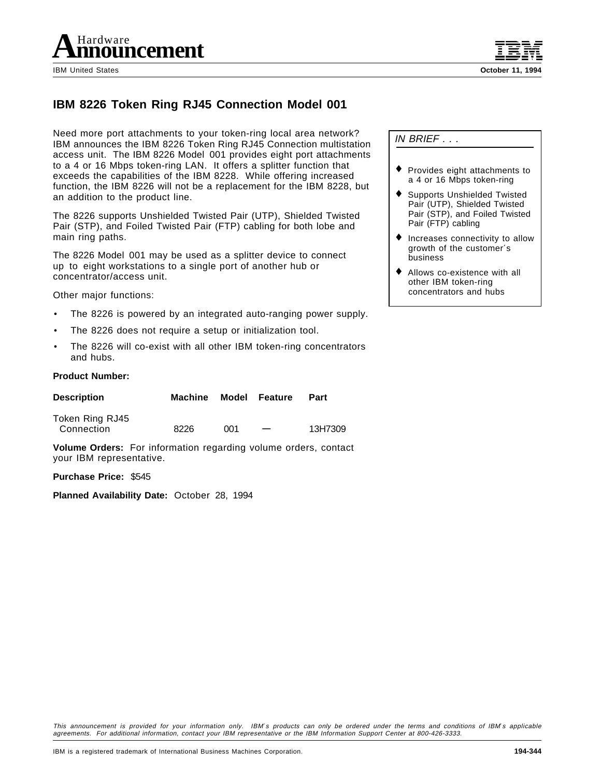

# **IBM 8226 Token Ring RJ45 Connection Model 001**

Need more port attachments to your token-ring local area network? IBM announces the IBM 8226 Token Ring RJ45 Connection multistation access unit. The IBM 8226 Model 001 provides eight port attachments to a 4 or 16 Mbps token-ring LAN. It offers a splitter function that exceeds the capabilities of the IBM 8228. While offering increased function, the IBM 8226 will not be a replacement for the IBM 8228, but an addition to the product line.

The 8226 supports Unshielded Twisted Pair (UTP), Shielded Twisted Pair (STP), and Foiled Twisted Pair (FTP) cabling for both lobe and main ring paths.

The 8226 Model 001 may be used as a splitter device to connect up to eight workstations to a single port of another hub or concentrator/access unit.

Other major functions:

- The 8226 is powered by an integrated auto-ranging power supply.
- The 8226 does not require a setup or initialization tool.
- The 8226 will co-exist with all other IBM token-ring concentrators and hubs.

#### **Product Number:**

| <b>Description</b> | Machine |     | Model Feature | Part    |
|--------------------|---------|-----|---------------|---------|
| Token Ring RJ45    |         |     |               |         |
| Connection         | 8226    | 001 |               | 13H7309 |

**Volume Orders:** For information regarding volume orders, contact your IBM representative.

**Purchase Price:** \$545

**Planned Availability Date:** October 28, 1994

IN BRIEF . . .

- ♦ Provides eight attachments to a 4 or 16 Mbps token-ring
- Supports Unshielded Twisted Pair (UTP), Shielded Twisted Pair (STP), and Foiled Twisted Pair (FTP) cabling
- Increases connectivity to allow growth of the customer′s business
- ♦ Allows co-existence with all other IBM token-ring concentrators and hubs

This announcement is provided for your information only. IBM′s products can only be ordered under the terms and conditions of IBM′s applicable agreements. For additional information, contact your IBM representative or the IBM Information Support Center at 800-426-3333.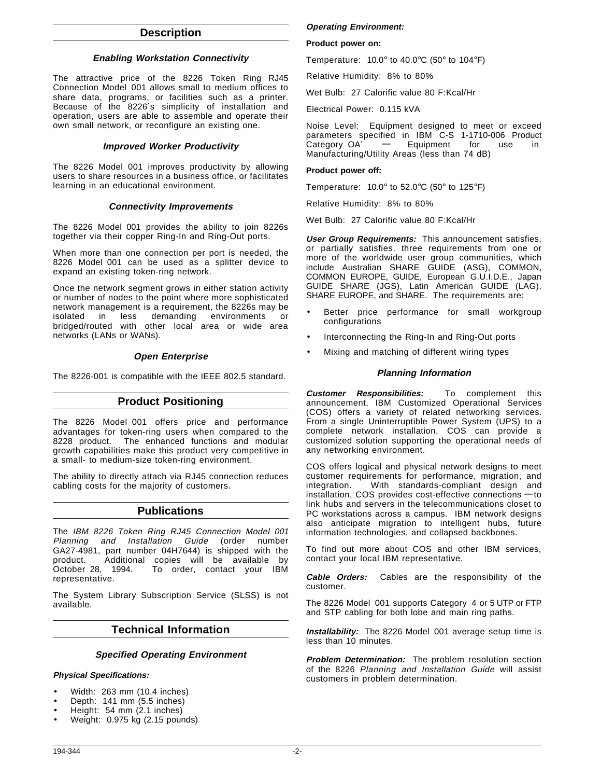## **Description**

#### **Enabling Workstation Connectivity**

The attractive price of the 8226 Token Ring RJ45 Connection Model 001 allows small to medium offices to share data, programs, or facilities such as a printer. Because of the 8226′s simplicity of installation and operation, users are able to assemble and operate their own small network, or reconfigure an existing one.

#### **Improved Worker Productivity**

The 8226 Model 001 improves productivity by allowing users to share resources in a business office, or facilitates learning in an educational environment.

#### **Connectivity Improvements**

The 8226 Model 001 provides the ability to join 8226s together via their copper Ring-In and Ring-Out ports.

When more than one connection per port is needed, the 8226 Model 001 can be used as a splitter device to expand an existing token-ring network.

Once the network segment grows in either station activity or number of nodes to the point where more sophisticated network management is a requirement, the 8226s may be isolated in less demanding environments or bridged/routed with other local area or wide area networks (LANs or WANs).

#### **Open Enterprise**

The 8226-001 is compatible with the IEEE 802.5 standard.

### **Product Positioning**

The 8226 Model 001 offers price and performance advantages for token-ring users when compared to the 8228 product. The enhanced functions and modular growth capabilities make this product very competitive in a small- to medium-size token-ring environment.

The ability to directly attach via RJ45 connection reduces cabling costs for the majority of customers.

### **Publications**

The IBM 8226 Token Ring RJ45 Connection Model 001 Planning and Installation Guide (order number GA27-4981, part number 04H7644) is shipped with the product. Additional copies will be available by October 28, 1994. To order, contact your IBM representative.

The System Library Subscription Service (SLSS) is not available.

### **Technical Information**

#### **Specified Operating Environment**

#### **Physical Specifications:**

- Width: 263 mm (10.4 inches)
- Depth: 141 mm (5.5 inches)
- Height: 54 mm (2.1 inches)
- Weight: 0.975 kg (2.15 pounds)

#### **Operating Environment:**

#### **Product power on:**

Temperature:  $10.0^\circ$  to  $40.0^\circ$ C (50° to  $104^\circ$ F)

Relative Humidity: 8% to 80%

Wet Bulb: 27 Calorific value 80 F:Kcal/Hr

Electrical Power: 0.115 kVA

Noise Level: Equipment designed to meet or exceed parameters specified in IBM C-S 1-1710-006 Product Category OA′ **—** Equipment for use in Manufacturing/Utility Areas (less than 74 dB)

#### **Product power off:**

Temperature:  $10.0^\circ$  to 52.0°C (50° to 125°F)

Relative Humidity: 8% to 80%

Wet Bulb: 27 Calorific value 80 F:Kcal/Hr

**User Group Requirements:** This announcement satisfies, or partially satisfies, three requirements from one or more of the worldwide user group communities, which include Australian SHARE GUIDE (ASG), COMMON, COMMON EUROPE, GUIDE, European G.U.I.D.E., Japan GUIDE SHARE (JGS), Latin American GUIDE (LAG), SHARE EUROPE, and SHARE. The requirements are:

- Better price performance for small workgroup configurations
- Interconnecting the Ring-In and Ring-Out ports
- Mixing and matching of different wiring types

#### **Planning Information**

**Customer Responsibilities:** To complement this announcement, IBM Customized Operational Services (COS) offers a variety of related networking services. From a single Uninterruptible Power System (UPS) to a complete network installation, COS can provide a customized solution supporting the operational needs of any networking environment.

COS offers logical and physical network designs to meet customer requirements for performance, migration, and integration. With standards-compliant design and installation, COS provides cost-effective connections **—** to link hubs and servers in the telecommunications closet to PC workstations across a campus. IBM network designs also anticipate migration to intelligent hubs, future information technologies, and collapsed backbones.

To find out more about COS and other IBM services, contact your local IBM representative.

**Cable Orders:** Cables are the responsibility of the customer.

The 8226 Model 001 supports Category 4 or 5 UTP or FTP and STP cabling for both lobe and main ring paths.

**Installability:** The 8226 Model 001 average setup time is less than 10 minutes.

**Problem Determination:** The problem resolution section of the 8226 Planning and Installation Guide will assist customers in problem determination.